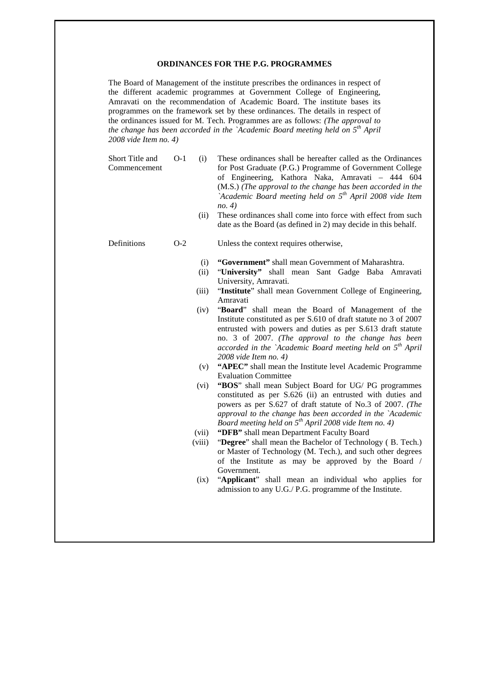#### **ORDINANCES FOR THE P.G. PROGRAMMES**

The Board of Management of the institute prescribes the ordinances in respect of the different academic programmes at Government College of Engineering, Amravati on the recommendation of Academic Board. The institute bases its programmes on the framework set by these ordinances. The details in respect of the ordinances issued for M. Tech. Programmes are as follows: *(The approval to the change has been accorded in the `Academic Board meeting held on 5th April 2008 vide Item no. 4)*

Short Title and Commencement O-1 (i) These ordinances shall be hereafter called as the Ordinances for Post Graduate (P.G.) Programme of Government College of Engineering, Kathora Naka, Amravati – 444 604 (M.S.) *(The approval to the change has been accorded in the `Academic Board meeting held on 5th April 2008 vide Item no. 4)*

(ii) These ordinances shall come into force with effect from such date as the Board (as defined in 2) may decide in this behalf.

- Definitions O-2 Unless the context requires otherwise,
	- (i) **"Government"** shall mean Government of Maharashtra.
	- (ii) "**University"** shall mean Sant Gadge Baba Amravati University, Amravati.
	- (iii) "**Institute**" shall mean Government College of Engineering, Amravati
	- (iv) "**Board**" shall mean the Board of Management of the Institute constituted as per S.610 of draft statute no 3 of 2007 entrusted with powers and duties as per S.613 draft statute no. 3 of 2007. *(The approval to the change has been accorded in the `Academic Board meeting held on 5th April 2008 vide Item no. 4)*
	- (v) **"APEC"** shall mean the Institute level Academic Programme Evaluation Committee
	- (vi) **"BOS**" shall mean Subject Board for UG/ PG programmes constituted as per S.626 (ii) an entrusted with duties and powers as per S.627 of draft statute of No.3 of 2007. *(The approval to the change has been accorded in the `Academic Board meeting held on 5th April 2008 vide Item no. 4)*
	- (vii) **"DFB"** shall mean Department Faculty Board
	- (viii) "**Degree**" shall mean the Bachelor of Technology ( B. Tech.) or Master of Technology (M. Tech.), and such other degrees of the Institute as may be approved by the Board / Government.
	- (ix) "**Applicant**" shall mean an individual who applies for admission to any U.G./ P.G. programme of the Institute.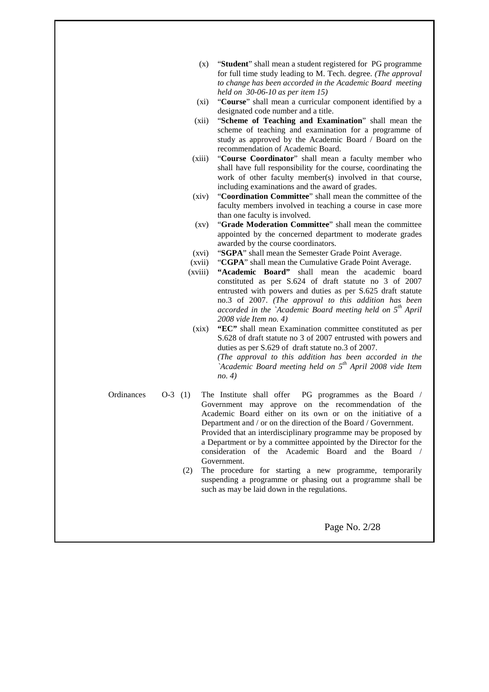- (x) "**Student**" shall mean a student registered for PG programme for full time study leading to M. Tech. degree. *(The approval to change has been accorded in the Academic Board meeting held on 30-06-10 as per item 15)*
- (xi) "**Course**" shall mean a curricular component identified by a designated code number and a title.
- (xii) "**Scheme of Teaching and Examination**" shall mean the scheme of teaching and examination for a programme of study as approved by the Academic Board / Board on the recommendation of Academic Board.
- (xiii) "**Course Coordinator**" shall mean a faculty member who shall have full responsibility for the course, coordinating the work of other faculty member(s) involved in that course, including examinations and the award of grades.
- (xiv) "**Coordination Committee**" shall mean the committee of the faculty members involved in teaching a course in case more than one faculty is involved.
- (xv) "**Grade Moderation Committee**" shall mean the committee appointed by the concerned department to moderate grades awarded by the course coordinators.
- (xvi) "**SGPA**" shall mean the Semester Grade Point Average.
- (xvii) "**CGPA**" shall mean the Cumulative Grade Point Average.
- (xviii) **"Academic Board"** shall mean the academic board constituted as per S.624 of draft statute no 3 of 2007 entrusted with powers and duties as per S.625 draft statute no.3 of 2007. *(The approval to this addition has been accorded in the `Academic Board meeting held on 5th April 2008 vide Item no. 4)*
- (xix) **"EC"** shall mean Examination committee constituted as per S.628 of draft statute no 3 of 2007 entrusted with powers and duties as per S.629 of draft statute no.3 of 2007. *(The approval to this addition has been accorded in the `Academic Board meeting held on 5th April 2008 vide Item no. 4)*

- Ordinances O-3 (1) The Institute shall offer PG programmes as the Board / Government may approve on the recommendation of the Academic Board either on its own or on the initiative of a Department and / or on the direction of the Board / Government. Provided that an interdisciplinary programme may be proposed by a Department or by a committee appointed by the Director for the consideration of the Academic Board and the Board / Government.
	- (2) The procedure for starting a new programme, temporarily suspending a programme or phasing out a programme shall be such as may be laid down in the regulations.

Page No. 2/28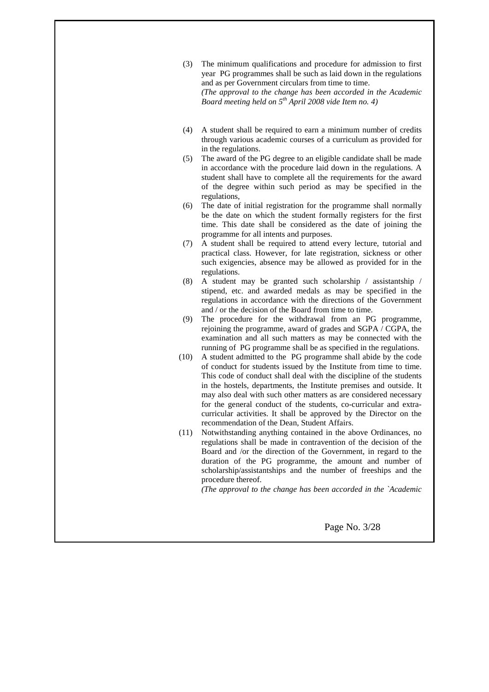- (3) The minimum qualifications and procedure for admission to first year PG programmes shall be such as laid down in the regulations and as per Government circulars from time to time. *(The approval to the change has been accorded in the Academic Board meeting held on 5th April 2008 vide Item no. 4)*
- (4) A student shall be required to earn a minimum number of credits through various academic courses of a curriculum as provided for in the regulations.
- (5) The award of the PG degree to an eligible candidate shall be made in accordance with the procedure laid down in the regulations. A student shall have to complete all the requirements for the award of the degree within such period as may be specified in the regulations,
- (6) The date of initial registration for the programme shall normally be the date on which the student formally registers for the first time. This date shall be considered as the date of joining the programme for all intents and purposes.
- (7) A student shall be required to attend every lecture, tutorial and practical class. However, for late registration, sickness or other such exigencies, absence may be allowed as provided for in the regulations.
- (8) A student may be granted such scholarship / assistantship / stipend, etc. and awarded medals as may be specified in the regulations in accordance with the directions of the Government and / or the decision of the Board from time to time.
- (9) The procedure for the withdrawal from an PG programme, rejoining the programme, award of grades and SGPA / CGPA, the examination and all such matters as may be connected with the running of PG programme shall be as specified in the regulations.
- (10) A student admitted to the PG programme shall abide by the code of conduct for students issued by the Institute from time to time. This code of conduct shall deal with the discipline of the students in the hostels, departments, the Institute premises and outside. It may also deal with such other matters as are considered necessary for the general conduct of the students, co-curricular and extracurricular activities. It shall be approved by the Director on the recommendation of the Dean, Student Affairs.
- (11) Notwithstanding anything contained in the above Ordinances, no regulations shall be made in contravention of the decision of the Board and /or the direction of the Government, in regard to the duration of the PG programme, the amount and number of scholarship/assistantships and the number of freeships and the procedure thereof.

*(The approval to the change has been accorded in the `Academic* 

Page No. 3/28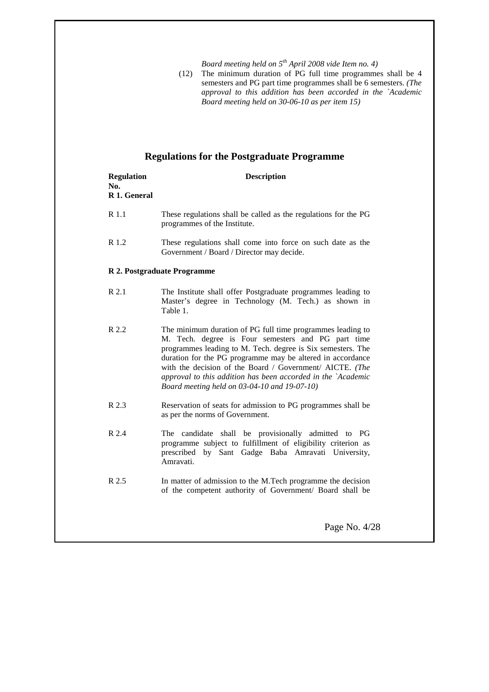*Board meeting held on 5th April 2008 vide Item no. 4)*

(12) The minimum duration of PG full time programmes shall be 4 semesters and PG part time programmes shall be 6 semesters. *(The approval to this addition has been accorded in the `Academic Board meeting held on 30-06-10 as per item 15)*

# **Regulations for the Postgraduate Programme**

| <b>Regulation</b><br>No.<br>R 1. General | <b>Description</b>                                                                                                                                                                                                                                                                                                                                                                                                        |
|------------------------------------------|---------------------------------------------------------------------------------------------------------------------------------------------------------------------------------------------------------------------------------------------------------------------------------------------------------------------------------------------------------------------------------------------------------------------------|
| R 1.1                                    | These regulations shall be called as the regulations for the PG<br>programmes of the Institute.                                                                                                                                                                                                                                                                                                                           |
| R 1.2                                    | These regulations shall come into force on such date as the<br>Government / Board / Director may decide.                                                                                                                                                                                                                                                                                                                  |
|                                          | R 2. Postgraduate Programme                                                                                                                                                                                                                                                                                                                                                                                               |
| R 2.1                                    | The Institute shall offer Postgraduate programmes leading to<br>Master's degree in Technology (M. Tech.) as shown in<br>Table 1.                                                                                                                                                                                                                                                                                          |
| R 2.2                                    | The minimum duration of PG full time programmes leading to<br>M. Tech. degree is Four semesters and PG part time<br>programmes leading to M. Tech. degree is Six semesters. The<br>duration for the PG programme may be altered in accordance<br>with the decision of the Board / Government/ AICTE. (The<br>approval to this addition has been accorded in the `Academic<br>Board meeting held on 03-04-10 and 19-07-10) |
| R 2.3                                    | Reservation of seats for admission to PG programmes shall be<br>as per the norms of Government.                                                                                                                                                                                                                                                                                                                           |
| R 2.4                                    | The candidate shall be provisionally admitted to PG<br>programme subject to fulfillment of eligibility criterion as<br>prescribed by Sant Gadge Baba Amravati University,<br>Amravati.                                                                                                                                                                                                                                    |
| R 2.5                                    | In matter of admission to the M.Tech programme the decision<br>of the competent authority of Government/ Board shall be                                                                                                                                                                                                                                                                                                   |
|                                          | Page No. 4/28                                                                                                                                                                                                                                                                                                                                                                                                             |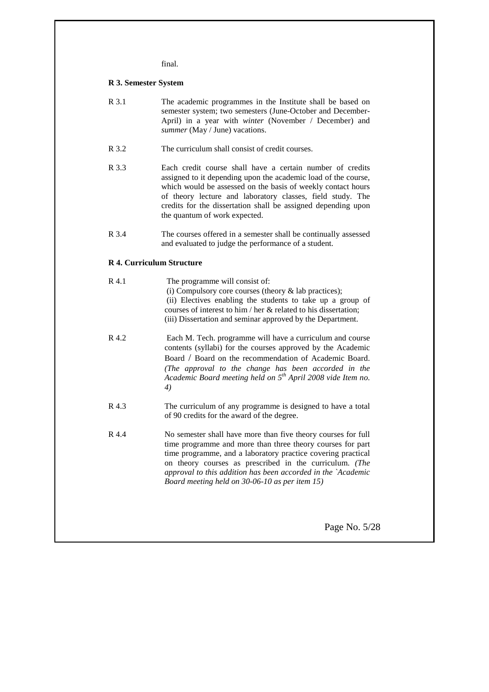final.

#### **R 3. Semester System**

| R 3.1 | The academic programmes in the Institute shall be based on    |
|-------|---------------------------------------------------------------|
|       | semester system; two semesters (June-October and December-    |
|       | April) in a year with <i>winter</i> (November / December) and |
|       | <i>summer</i> (May / June) vacations.                         |

- R 3.2 The curriculum shall consist of credit courses.
- R 3.3 Each credit course shall have a certain number of credits assigned to it depending upon the academic load of the course, which would be assessed on the basis of weekly contact hours of theory lecture and laboratory classes, field study. The credits for the dissertation shall be assigned depending upon the quantum of work expected.
- R 3.4 The courses offered in a semester shall be continually assessed and evaluated to judge the performance of a student.

## **R 4. Curriculum Structure**

| R 4.1 | The programme will consist of:<br>(i) Compulsory core courses (theory $\&$ lab practices);<br>(ii) Electives enabling the students to take up a group of<br>courses of interest to him / her & related to his dissertation;<br>(iii) Dissertation and seminar approved by the Department.                                                                                |
|-------|--------------------------------------------------------------------------------------------------------------------------------------------------------------------------------------------------------------------------------------------------------------------------------------------------------------------------------------------------------------------------|
| R 4.2 | Each M. Tech. programme will have a curriculum and course<br>contents (syllabi) for the courses approved by the Academic<br>Board / Board on the recommendation of Academic Board.<br>(The approval to the change has been accorded in the<br>Academic Board meeting held on 5 <sup>th</sup> April 2008 vide Item no.<br>$\left( 4\right)$                               |
| R 4.3 | The curriculum of any programme is designed to have a total<br>of 90 credits for the award of the degree.                                                                                                                                                                                                                                                                |
| R 4.4 | No semester shall have more than five theory courses for full<br>time programme and more than three theory courses for part<br>time programme, and a laboratory practice covering practical<br>on theory courses as prescribed in the curriculum. (The<br>approval to this addition has been accorded in the `Academic<br>Board meeting held on 30-06-10 as per item 15) |
|       | Page No. 5/28                                                                                                                                                                                                                                                                                                                                                            |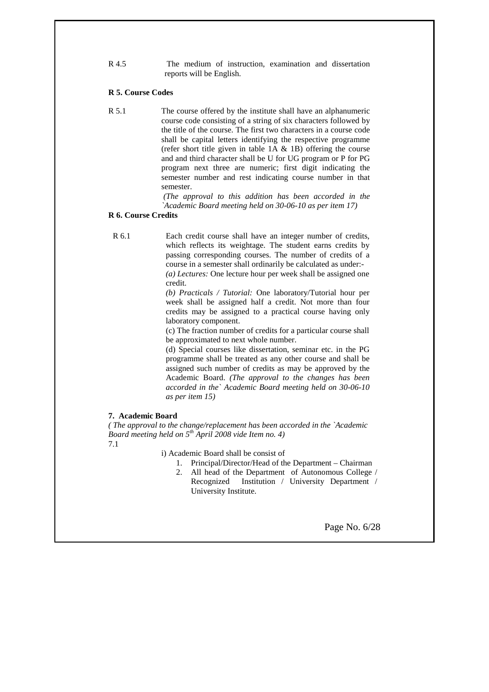R 4.5 The medium of instruction, examination and dissertation reports will be English.

#### **R 5. Course Codes**

R 5.1 The course offered by the institute shall have an alphanumeric course code consisting of a string of six characters followed by the title of the course. The first two characters in a course code shall be capital letters identifying the respective programme (refer short title given in table  $1A \& 1B$ ) offering the course and and third character shall be U for UG program or P for PG program next three are numeric; first digit indicating the semester number and rest indicating course number in that semester.

> *(The approval to this addition has been accorded in the `Academic Board meeting held on 30-06-10 as per item 17)*

## **R 6. Course Credits**

R 6.1 Each credit course shall have an integer number of credits, which reflects its weightage. The student earns credits by passing corresponding courses. The number of credits of a course in a semester shall ordinarily be calculated as under:-

> *(a) Lectures:* One lecture hour per week shall be assigned one credit.

> *(b) Practicals / Tutorial:* One laboratory/Tutorial hour per week shall be assigned half a credit. Not more than four credits may be assigned to a practical course having only laboratory component.

> (c) The fraction number of credits for a particular course shall be approximated to next whole number.

> (d) Special courses like dissertation, seminar etc. in the PG programme shall be treated as any other course and shall be assigned such number of credits as may be approved by the Academic Board. *(The approval to the changes has been accorded in the` Academic Board meeting held on 30-06-10 as per item 15)*

#### **7. Academic Board**

*( The approval to the change/replacement has been accorded in the `Academic Board meeting held on 5th April 2008 vide Item no. 4)*

7.1

i) Academic Board shall be consist of

- 1. Principal/Director/Head of the Department Chairman
- 2. All head of the Department of Autonomous College / Recognized Institution / University Department / University Institute.

Page No. 6/28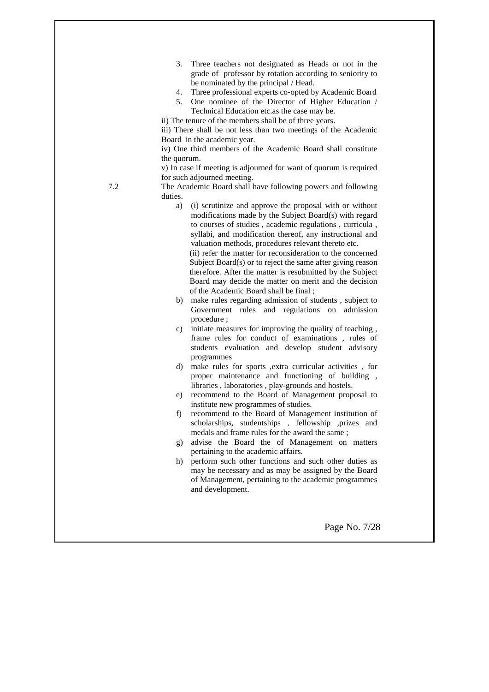- 3. Three teachers not designated as Heads or not in the grade of professor by rotation according to seniority to be nominated by the principal / Head.
- 4. Three professional experts co-opted by Academic Board
- 5. One nominee of the Director of Higher Education / Technical Education etc.as the case may be.
- ii) The tenure of the members shall be of three years.

iii) There shall be not less than two meetings of the Academic Board in the academic year.

iv) One third members of the Academic Board shall constitute the quorum.

v) In case if meeting is adjourned for want of quorum is required for such adjourned meeting.

7.2 The Academic Board shall have following powers and following duties. a) (i) scrutinize and approve the proposal with or without

modifications made by the Subject Board(s) with regard to courses of studies , academic regulations , curricula , syllabi, and modification thereof, any instructional and valuation methods, procedures relevant thereto etc.

(ii) refer the matter for reconsideration to the concerned Subject Board(s) or to reject the same after giving reason therefore. After the matter is resubmitted by the Subject Board may decide the matter on merit and the decision of the Academic Board shall be final ;

- b) make rules regarding admission of students , subject to Government rules and regulations on admission procedure ;
- c) initiate measures for improving the quality of teaching , frame rules for conduct of examinations , rules of students evaluation and develop student advisory programmes
- d) make rules for sports ,extra curricular activities , for proper maintenance and functioning of building , libraries , laboratories , play-grounds and hostels.
- e) recommend to the Board of Management proposal to institute new programmes of studies.
- f) recommend to the Board of Management institution of scholarships, studentships , fellowship ,prizes and medals and frame rules for the award the same ;
- g) advise the Board the of Management on matters pertaining to the academic affairs.
- h) perform such other functions and such other duties as may be necessary and as may be assigned by the Board of Management, pertaining to the academic programmes and development.

Page No. 7/28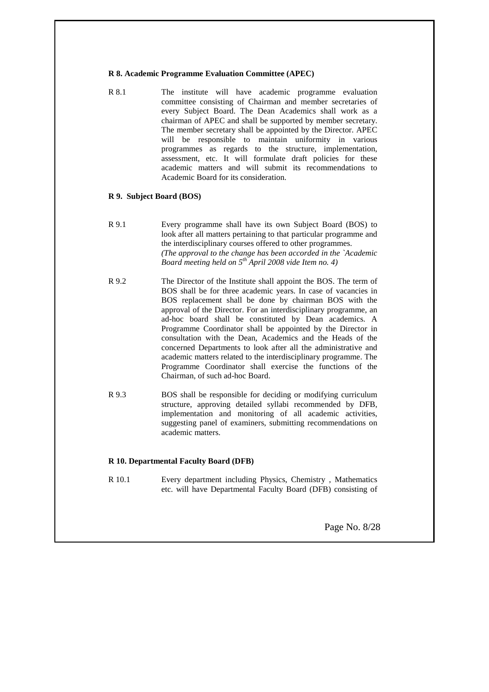#### **R 8. Academic Programme Evaluation Committee (APEC)**

R 8.1 The institute will have academic programme evaluation committee consisting of Chairman and member secretaries of every Subject Board. The Dean Academics shall work as a chairman of APEC and shall be supported by member secretary. The member secretary shall be appointed by the Director. APEC will be responsible to maintain uniformity in various programmes as regards to the structure, implementation, assessment, etc. It will formulate draft policies for these academic matters and will submit its recommendations to Academic Board for its consideration.

## **R 9. Subject Board (BOS)**

- R 9.1 Every programme shall have its own Subject Board (BOS) to look after all matters pertaining to that particular programme and the interdisciplinary courses offered to other programmes. *(The approval to the change has been accorded in the `Academic Board meeting held on 5th April 2008 vide Item no. 4)*
- R 9.2 The Director of the Institute shall appoint the BOS. The term of BOS shall be for three academic years. In case of vacancies in BOS replacement shall be done by chairman BOS with the approval of the Director. For an interdisciplinary programme, an ad-hoc board shall be constituted by Dean academics. A Programme Coordinator shall be appointed by the Director in consultation with the Dean, Academics and the Heads of the concerned Departments to look after all the administrative and academic matters related to the interdisciplinary programme. The Programme Coordinator shall exercise the functions of the Chairman, of such ad-hoc Board.
- R 9.3 BOS shall be responsible for deciding or modifying curriculum structure, approving detailed syllabi recommended by DFB, implementation and monitoring of all academic activities, suggesting panel of examiners, submitting recommendations on academic matters.

#### **R 10. Departmental Faculty Board (DFB)**

R 10.1 Every department including Physics, Chemistry , Mathematics etc. will have Departmental Faculty Board (DFB) consisting of

Page No. 8/28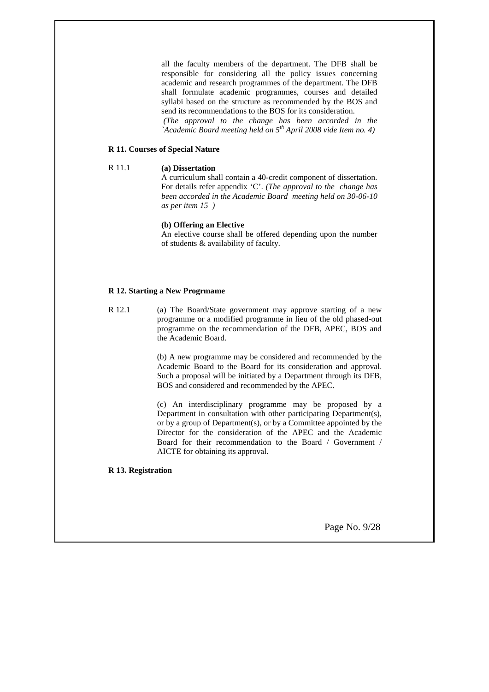all the faculty members of the department. The DFB shall be responsible for considering all the policy issues concerning academic and research programmes of the department. The DFB shall formulate academic programmes, courses and detailed syllabi based on the structure as recommended by the BOS and send its recommendations to the BOS for its consideration.

 *(The approval to the change has been accorded in the `Academic Board meeting held on 5th April 2008 vide Item no. 4)*

## **R 11. Courses of Special Nature**

#### R 11.1 **(a) Dissertation**

A curriculum shall contain a 40-credit component of dissertation. For details refer appendix 'C'. *(The approval to the change has been accorded in the Academic Board meeting held on 30-06-10 as per item 15 )*

#### **(b) Offering an Elective**

An elective course shall be offered depending upon the number of students & availability of faculty.

## **R 12. Starting a New Progrmame**

R 12.1 (a) The Board/State government may approve starting of a new programme or a modified programme in lieu of the old phased-out programme on the recommendation of the DFB, APEC, BOS and the Academic Board.

> (b) A new programme may be considered and recommended by the Academic Board to the Board for its consideration and approval. Such a proposal will be initiated by a Department through its DFB, BOS and considered and recommended by the APEC.

> (c) An interdisciplinary programme may be proposed by a Department in consultation with other participating Department(s), or by a group of Department(s), or by a Committee appointed by the Director for the consideration of the APEC and the Academic Board for their recommendation to the Board / Government / AICTE for obtaining its approval.

#### **R 13. Registration**

Page No. 9/28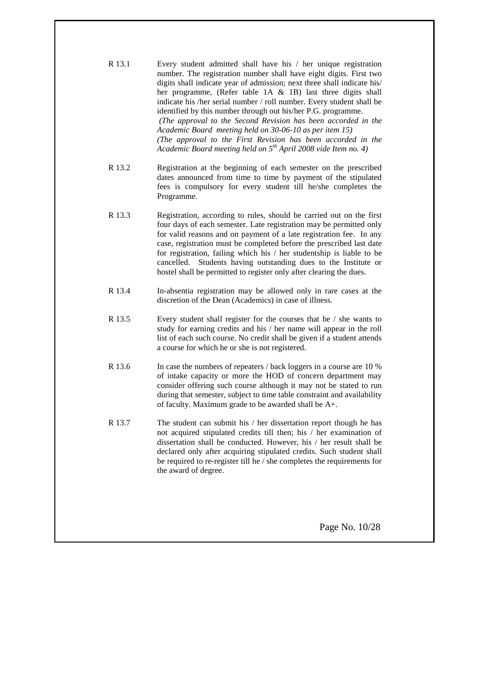| R 13.1 | Every student admitted shall have his / her unique registration<br>number. The registration number shall have eight digits. First two<br>digits shall indicate year of admission; next three shall indicate his/<br>her programme, (Refer table 1A & 1B) last three digits shall<br>indicate his /her serial number / roll number. Every student shall be<br>identified by this number through out his/her P.G. programme.<br>(The approval to the Second Revision has been accorded in the<br>Academic Board meeting held on 30-06-10 as per item 15)<br>(The approval to the First Revision has been accorded in the<br>Academic Board meeting held on $5^{th}$ April 2008 vide Item no. 4) |
|--------|-----------------------------------------------------------------------------------------------------------------------------------------------------------------------------------------------------------------------------------------------------------------------------------------------------------------------------------------------------------------------------------------------------------------------------------------------------------------------------------------------------------------------------------------------------------------------------------------------------------------------------------------------------------------------------------------------|
| R 13.2 | Registration at the beginning of each semester on the prescribed<br>dates announced from time to time by payment of the stipulated<br>fees is compulsory for every student till he/she completes the<br>Programme.                                                                                                                                                                                                                                                                                                                                                                                                                                                                            |
| R 13.3 | Registration, according to rules, should be carried out on the first<br>four days of each semester. Late registration may be permitted only<br>for valid reasons and on payment of a late registration fee. In any<br>case, registration must be completed before the prescribed last date<br>for registration, failing which his / her studentship is liable to be<br>cancelled. Students having outstanding dues to the Institute or<br>hostel shall be permitted to register only after clearing the dues.                                                                                                                                                                                 |
| R 13.4 | In-absentia registration may be allowed only in rare cases at the<br>discretion of the Dean (Academics) in case of illness.                                                                                                                                                                                                                                                                                                                                                                                                                                                                                                                                                                   |
| R 13.5 | Every student shall register for the courses that he / she wants to<br>study for earning credits and his / her name will appear in the roll<br>list of each such course. No credit shall be given if a student attends<br>a course for which he or she is not registered.                                                                                                                                                                                                                                                                                                                                                                                                                     |
| R 13.6 | In case the numbers of repeaters / back loggers in a course are 10 %<br>of intake capacity or more the HOD of concern department may<br>consider offering such course although it may not be stated to run<br>during that semester, subject to time table constraint and availability<br>of faculty. Maximum grade to be awarded shall be A+.                                                                                                                                                                                                                                                                                                                                                 |
| R 13.7 | The student can submit his / her dissertation report though he has<br>not acquired stipulated credits till then; his / her examination of<br>dissertation shall be conducted. However, his / her result shall be<br>declared only after acquiring stipulated credits. Such student shall<br>be required to re-register till he / she completes the requirements for<br>the award of degree.                                                                                                                                                                                                                                                                                                   |
|        |                                                                                                                                                                                                                                                                                                                                                                                                                                                                                                                                                                                                                                                                                               |

Page No. 10/28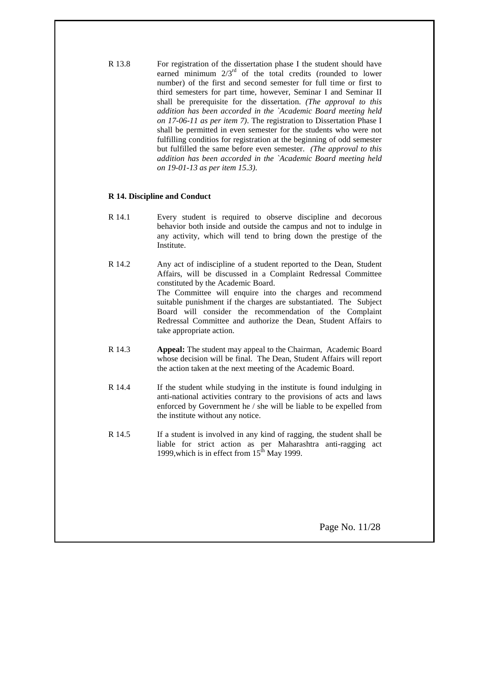R 13.8 For registration of the dissertation phase I the student should have earned minimum  $2/3<sup>rd</sup>$  of the total credits (rounded to lower number) of the first and second semester for full time or first to third semesters for part time, however, Seminar I and Seminar II shall be prerequisite for the dissertation. *(The approval to this addition has been accorded in the `Academic Board meeting held on 17-06-11 as per item 7)*. The registration to Dissertation Phase I shall be permitted in even semester for the students who were not fulfilling conditios for registration at the beginning of odd semester but fulfilled the same before even semester. *(The approval to this addition has been accorded in the `Academic Board meeting held on 19-01-13 as per item 15.3)*.

## **R 14. Discipline and Conduct**

- R 14.1 Every student is required to observe discipline and decorous behavior both inside and outside the campus and not to indulge in any activity, which will tend to bring down the prestige of the Institute.
- R 14.2 Any act of indiscipline of a student reported to the Dean, Student Affairs, will be discussed in a Complaint Redressal Committee constituted by the Academic Board. The Committee will enquire into the charges and recommend suitable punishment if the charges are substantiated. The Subject Board will consider the recommendation of the Complaint Redressal Committee and authorize the Dean, Student Affairs to take appropriate action.
- R 14.3 **Appeal:** The student may appeal to the Chairman, Academic Board whose decision will be final. The Dean, Student Affairs will report the action taken at the next meeting of the Academic Board.
- R 14.4 If the student while studying in the institute is found indulging in anti-national activities contrary to the provisions of acts and laws enforced by Government he / she will be liable to be expelled from the institute without any notice.
- R 14.5 If a student is involved in any kind of ragging, the student shall be liable for strict action as per Maharashtra anti-ragging act 1999, which is in effect from  $15<sup>th</sup>$  May 1999.

Page No. 11/28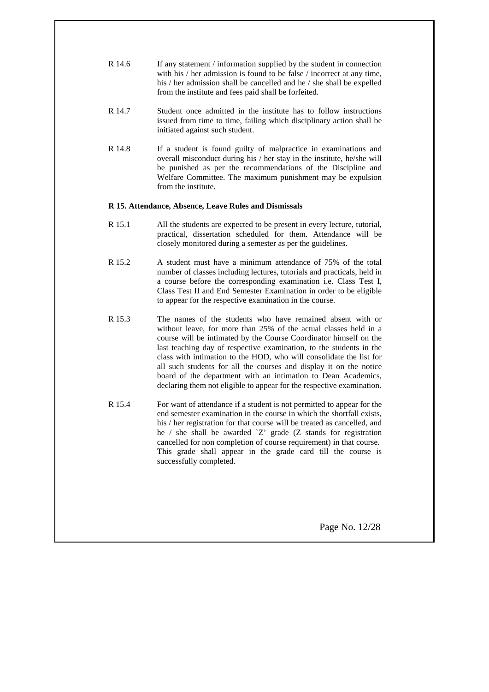| R 14.6 | If any statement / information supplied by the student in connection   |
|--------|------------------------------------------------------------------------|
|        | with his / her admission is found to be false / incorrect at any time, |
|        | his / her admission shall be cancelled and he / she shall be expelled  |
|        | from the institute and fees paid shall be forfeited.                   |

- R 14.7 Student once admitted in the institute has to follow instructions issued from time to time, failing which disciplinary action shall be initiated against such student.
- R 14.8 If a student is found guilty of malpractice in examinations and overall misconduct during his / her stay in the institute, he/she will be punished as per the recommendations of the Discipline and Welfare Committee. The maximum punishment may be expulsion from the institute.

## **R 15. Attendance, Absence, Leave Rules and Dismissals**

- R 15.1 All the students are expected to be present in every lecture, tutorial, practical, dissertation scheduled for them. Attendance will be closely monitored during a semester as per the guidelines.
- R 15.2 A student must have a minimum attendance of 75% of the total number of classes including lectures, tutorials and practicals, held in a course before the corresponding examination i.e. Class Test I, Class Test II and End Semester Examination in order to be eligible to appear for the respective examination in the course.
- R 15.3 The names of the students who have remained absent with or without leave, for more than 25% of the actual classes held in a course will be intimated by the Course Coordinator himself on the last teaching day of respective examination, to the students in the class with intimation to the HOD, who will consolidate the list for all such students for all the courses and display it on the notice board of the department with an intimation to Dean Academics, declaring them not eligible to appear for the respective examination.
- R 15.4 For want of attendance if a student is not permitted to appear for the end semester examination in the course in which the shortfall exists, his / her registration for that course will be treated as cancelled, and he / she shall be awarded `Z' grade (Z stands for registration cancelled for non completion of course requirement) in that course. This grade shall appear in the grade card till the course is successfully completed.

Page No. 12/28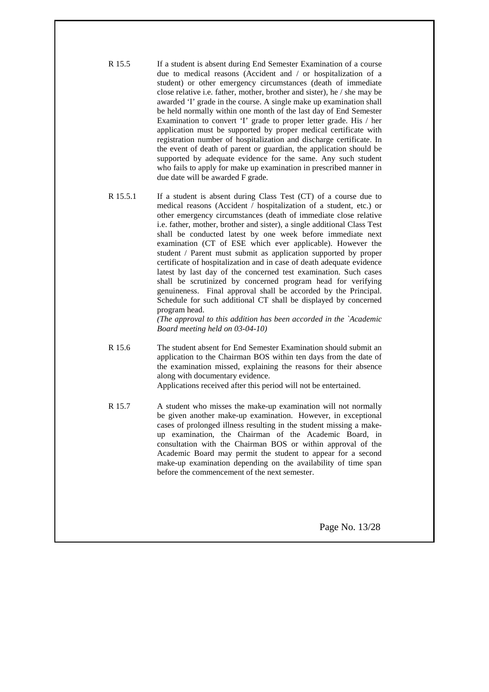| R 15.5 | If a student is absent during End Semester Examination of a course       |
|--------|--------------------------------------------------------------------------|
|        | due to medical reasons (Accident and / or hospitalization of a           |
|        | student) or other emergency circumstances (death of immediate            |
|        | close relative i.e. father, mother, brother and sister), he / she may be |
|        | awarded 'I' grade in the course. A single make up examination shall      |
|        | be held normally within one month of the last day of End Semester        |
|        | Examination to convert 'I' grade to proper letter grade. His / her       |
|        | application must be supported by proper medical certificate with         |
|        | registration number of hospitalization and discharge certificate. In     |
|        | the event of death of parent or guardian, the application should be      |
|        | supported by adequate evidence for the same. Any such student            |
|        | who fails to apply for make up examination in prescribed manner in       |
|        | due date will be awarded F grade.                                        |

R 15.5.1 If a student is absent during Class Test (CT) of a course due to medical reasons (Accident / hospitalization of a student, etc.) or other emergency circumstances (death of immediate close relative i.e. father, mother, brother and sister), a single additional Class Test shall be conducted latest by one week before immediate next examination (CT of ESE which ever applicable). However the student / Parent must submit as application supported by proper certificate of hospitalization and in case of death adequate evidence latest by last day of the concerned test examination. Such cases shall be scrutinized by concerned program head for verifying genuineness. Final approval shall be accorded by the Principal. Schedule for such additional CT shall be displayed by concerned program head.

*(The approval to this addition has been accorded in the `Academic Board meeting held on 03-04-10)*

R 15.6 The student absent for End Semester Examination should submit an application to the Chairman BOS within ten days from the date of the examination missed, explaining the reasons for their absence along with documentary evidence.

Applications received after this period will not be entertained.

R 15.7 A student who misses the make-up examination will not normally be given another make-up examination. However, in exceptional cases of prolonged illness resulting in the student missing a makeup examination, the Chairman of the Academic Board, in consultation with the Chairman BOS or within approval of the Academic Board may permit the student to appear for a second make-up examination depending on the availability of time span before the commencement of the next semester.

Page No. 13/28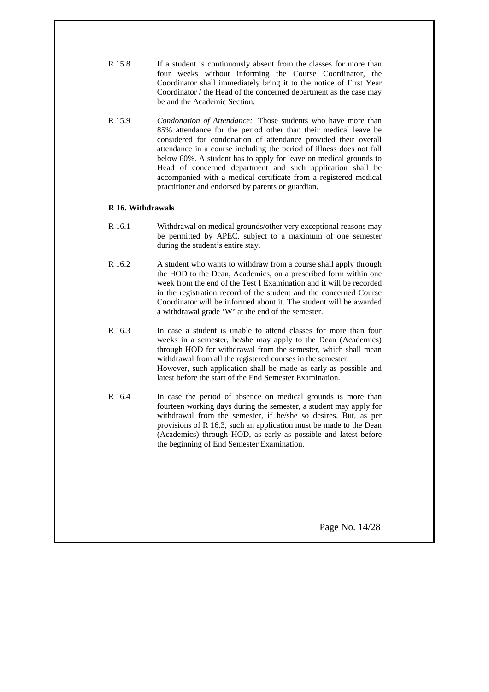| R 15.8 | If a student is continuously absent from the classes for more than |  |  |  |  |
|--------|--------------------------------------------------------------------|--|--|--|--|
|        | four weeks without informing the Course Coordinator, the           |  |  |  |  |
|        | Coordinator shall immediately bring it to the notice of First Year |  |  |  |  |
|        | Coordinator / the Head of the concerned department as the case may |  |  |  |  |
|        | be and the Academic Section.                                       |  |  |  |  |

R 15.9 *Condonation of Attendance:* Those students who have more than 85% attendance for the period other than their medical leave be considered for condonation of attendance provided their overall attendance in a course including the period of illness does not fall below 60%. A student has to apply for leave on medical grounds to Head of concerned department and such application shall be accompanied with a medical certificate from a registered medical practitioner and endorsed by parents or guardian.

## **R 16. Withdrawals**

- R 16.1 Withdrawal on medical grounds/other very exceptional reasons may be permitted by APEC, subject to a maximum of one semester during the student's entire stay.
- R 16.2 A student who wants to withdraw from a course shall apply through the HOD to the Dean, Academics, on a prescribed form within one week from the end of the Test I Examination and it will be recorded in the registration record of the student and the concerned Course Coordinator will be informed about it. The student will be awarded a withdrawal grade 'W' at the end of the semester.
- R 16.3 In case a student is unable to attend classes for more than four weeks in a semester, he/she may apply to the Dean (Academics) through HOD for withdrawal from the semester, which shall mean withdrawal from all the registered courses in the semester. However, such application shall be made as early as possible and latest before the start of the End Semester Examination.
- R 16.4 In case the period of absence on medical grounds is more than fourteen working days during the semester, a student may apply for withdrawal from the semester, if he/she so desires. But, as per provisions of R 16.3, such an application must be made to the Dean (Academics) through HOD, as early as possible and latest before the beginning of End Semester Examination.

Page No. 14/28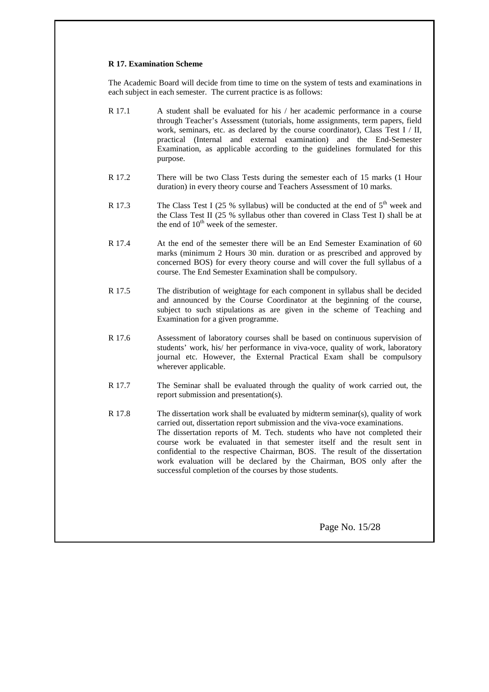#### **R 17. Examination Scheme**

The Academic Board will decide from time to time on the system of tests and examinations in each subject in each semester. The current practice is as follows:

- R 17.1 A student shall be evaluated for his / her academic performance in a course through Teacher's Assessment (tutorials, home assignments, term papers, field work, seminars, etc. as declared by the course coordinator), Class Test I / II, practical (Internal and external examination) and the End-Semester Examination, as applicable according to the guidelines formulated for this purpose.
- R 17.2 There will be two Class Tests during the semester each of 15 marks (1 Hour duration) in every theory course and Teachers Assessment of 10 marks.
- R 17.3 The Class Test I (25 % syllabus) will be conducted at the end of  $5<sup>th</sup>$  week and the Class Test II (25 % syllabus other than covered in Class Test I) shall be at the end of  $10<sup>th</sup>$  week of the semester.
- R 17.4 At the end of the semester there will be an End Semester Examination of 60 marks (minimum 2 Hours 30 min. duration or as prescribed and approved by concerned BOS) for every theory course and will cover the full syllabus of a course. The End Semester Examination shall be compulsory.
- R 17.5 The distribution of weightage for each component in syllabus shall be decided and announced by the Course Coordinator at the beginning of the course, subject to such stipulations as are given in the scheme of Teaching and Examination for a given programme.
- R 17.6 Assessment of laboratory courses shall be based on continuous supervision of students' work, his/ her performance in viva-voce, quality of work, laboratory journal etc. However, the External Practical Exam shall be compulsory wherever applicable.
- R 17.7 The Seminar shall be evaluated through the quality of work carried out, the report submission and presentation(s).
- R 17.8 The dissertation work shall be evaluated by midterm seminar(s), quality of work carried out, dissertation report submission and the viva-voce examinations. The dissertation reports of M. Tech. students who have not completed their course work be evaluated in that semester itself and the result sent in confidential to the respective Chairman, BOS. The result of the dissertation work evaluation will be declared by the Chairman, BOS only after the successful completion of the courses by those students.

Page No. 15/28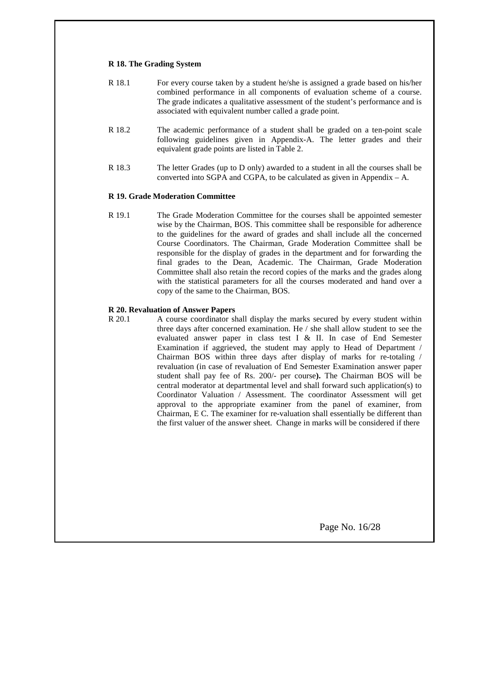#### **R 18. The Grading System**

| R 18.1 | For every course taken by a student he/she is assigned a grade based on his/her  |
|--------|----------------------------------------------------------------------------------|
|        | combined performance in all components of evaluation scheme of a course.         |
|        | The grade indicates a qualitative assessment of the student's performance and is |
|        | associated with equivalent number called a grade point.                          |

- R 18.2 The academic performance of a student shall be graded on a ten-point scale following guidelines given in Appendix-A. The letter grades and their equivalent grade points are listed in Table 2.
- R 18.3 The letter Grades (up to D only) awarded to a student in all the courses shall be converted into SGPA and CGPA, to be calculated as given in Appendix  $- A$ .

## **R 19. Grade Moderation Committee**

R 19.1 The Grade Moderation Committee for the courses shall be appointed semester wise by the Chairman, BOS. This committee shall be responsible for adherence to the guidelines for the award of grades and shall include all the concerned Course Coordinators. The Chairman, Grade Moderation Committee shall be responsible for the display of grades in the department and for forwarding the final grades to the Dean, Academic. The Chairman, Grade Moderation Committee shall also retain the record copies of the marks and the grades along with the statistical parameters for all the courses moderated and hand over a copy of the same to the Chairman, BOS.

## **R 20. Revaluation of Answer Papers**

R 20.1 A course coordinator shall display the marks secured by every student within three days after concerned examination. He / she shall allow student to see the evaluated answer paper in class test I & II. In case of End Semester Examination if aggrieved, the student may apply to Head of Department / Chairman BOS within three days after display of marks for re-totaling / revaluation (in case of revaluation of End Semester Examination answer paper student shall pay fee of Rs. 200/- per course**).** The Chairman BOS will be central moderator at departmental level and shall forward such application(s) to Coordinator Valuation / Assessment. The coordinator Assessment will get approval to the appropriate examiner from the panel of examiner, from Chairman, E C. The examiner for re-valuation shall essentially be different than the first valuer of the answer sheet. Change in marks will be considered if there

Page No. 16/28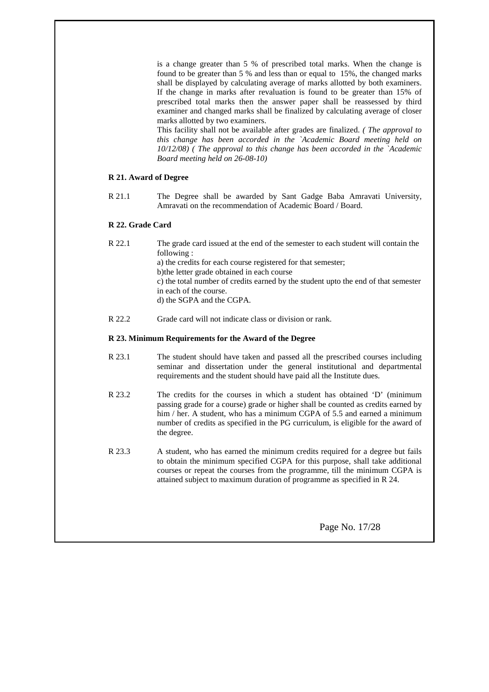is a change greater than 5 % of prescribed total marks. When the change is found to be greater than 5 % and less than or equal to 15%, the changed marks shall be displayed by calculating average of marks allotted by both examiners. If the change in marks after revaluation is found to be greater than 15% of prescribed total marks then the answer paper shall be reassessed by third examiner and changed marks shall be finalized by calculating average of closer marks allotted by two examiners.

This facility shall not be available after grades are finalized. *( The approval to this change has been accorded in the `Academic Board meeting held on 10/12/08) ( The approval to this change has been accorded in the `Academic Board meeting held on 26-08-10)*

## **R 21. Award of Degree**

R 21.1 The Degree shall be awarded by Sant Gadge Baba Amravati University, Amravati on the recommendation of Academic Board / Board.

## **R 22. Grade Card**

- R 22.1 The grade card issued at the end of the semester to each student will contain the following : a) the credits for each course registered for that semester; b)the letter grade obtained in each course c) the total number of credits earned by the student upto the end of that semester in each of the course. d) the SGPA and the CGPA.
- R 22.2 Grade card will not indicate class or division or rank.

## **R 23. Minimum Requirements for the Award of the Degree**

- R 23.1 The student should have taken and passed all the prescribed courses including seminar and dissertation under the general institutional and departmental requirements and the student should have paid all the Institute dues.
- R 23.2 The credits for the courses in which a student has obtained 'D' (minimum passing grade for a course) grade or higher shall be counted as credits earned by him / her. A student, who has a minimum CGPA of 5.5 and earned a minimum number of credits as specified in the PG curriculum, is eligible for the award of the degree.
- R 23.3 A student, who has earned the minimum credits required for a degree but fails to obtain the minimum specified CGPA for this purpose, shall take additional courses or repeat the courses from the programme, till the minimum CGPA is attained subject to maximum duration of programme as specified in R 24.

Page No. 17/28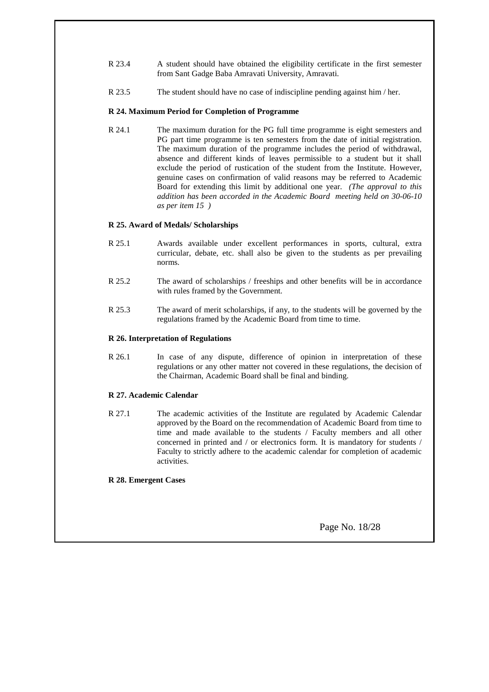- R 23.4 A student should have obtained the eligibility certificate in the first semester from Sant Gadge Baba Amravati University, Amravati.
- R 23.5 The student should have no case of indiscipline pending against him / her.

## **R 24. Maximum Period for Completion of Programme**

R 24.1 The maximum duration for the PG full time programme is eight semesters and PG part time programme is ten semesters from the date of initial registration. The maximum duration of the programme includes the period of withdrawal, absence and different kinds of leaves permissible to a student but it shall exclude the period of rustication of the student from the Institute. However, genuine cases on confirmation of valid reasons may be referred to Academic Board for extending this limit by additional one year. *(The approval to this addition has been accorded in the Academic Board meeting held on 30-06-10 as per item 15 )*

## **R 25. Award of Medals/ Scholarships**

- R 25.1 Awards available under excellent performances in sports, cultural, extra curricular, debate, etc. shall also be given to the students as per prevailing norms.
- R 25.2 The award of scholarships / freeships and other benefits will be in accordance with rules framed by the Government.
- R 25.3 The award of merit scholarships, if any, to the students will be governed by the regulations framed by the Academic Board from time to time.

## **R 26. Interpretation of Regulations**

R 26.1 In case of any dispute, difference of opinion in interpretation of these regulations or any other matter not covered in these regulations, the decision of the Chairman, Academic Board shall be final and binding.

## **R 27. Academic Calendar**

R 27.1 The academic activities of the Institute are regulated by Academic Calendar approved by the Board on the recommendation of Academic Board from time to time and made available to the students / Faculty members and all other concerned in printed and / or electronics form. It is mandatory for students / Faculty to strictly adhere to the academic calendar for completion of academic activities.

## **R 28. Emergent Cases**

Page No. 18/28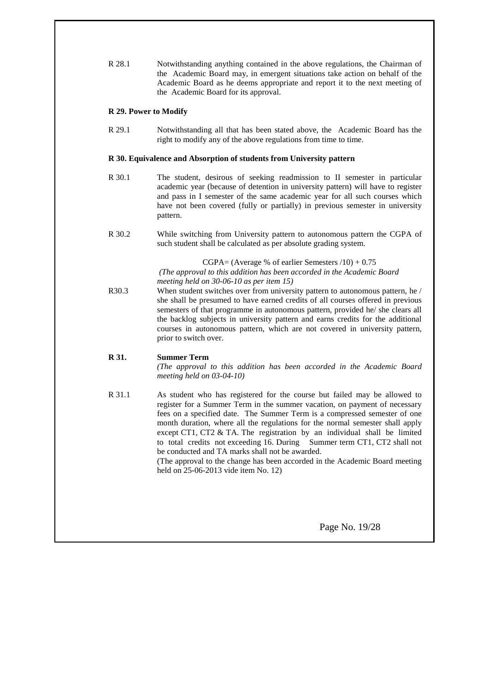R 28.1 Notwithstanding anything contained in the above regulations, the Chairman of the Academic Board may, in emergent situations take action on behalf of the Academic Board as he deems appropriate and report it to the next meeting of the Academic Board for its approval.

## **R 29. Power to Modify**

R 29.1 Notwithstanding all that has been stated above, the Academic Board has the right to modify any of the above regulations from time to time.

## **R 30. Equivalence and Absorption of students from University pattern**

- R 30.1 The student, desirous of seeking readmission to II semester in particular academic year (because of detention in university pattern) will have to register and pass in I semester of the same academic year for all such courses which have not been covered (fully or partially) in previous semester in university pattern.
- R 30.2 While switching from University pattern to autonomous pattern the CGPA of such student shall be calculated as per absolute grading system.

## CGPA= (Average % of earlier Semesters  $/10$ ) + 0.75

 *(The approval to this addition has been accorded in the Academic Board meeting held on 30-06-10 as per item 15)*

R30.3 When student switches over from university pattern to autonomous pattern, he / she shall be presumed to have earned credits of all courses offered in previous semesters of that programme in autonomous pattern, provided he/ she clears all the backlog subjects in university pattern and earns credits for the additional courses in autonomous pattern, which are not covered in university pattern, prior to switch over.

## **R 31. Summer Term**

*(The approval to this addition has been accorded in the Academic Board meeting held on 03-04-10)*

R 31.1 As student who has registered for the course but failed may be allowed to register for a Summer Term in the summer vacation, on payment of necessary fees on a specified date. The Summer Term is a compressed semester of one month duration, where all the regulations for the normal semester shall apply except CT1, CT2 & TA. The registration by an individual shall be limited to total credits not exceeding 16. During Summer term CT1, CT2 shall not be conducted and TA marks shall not be awarded.

> (The approval to the change has been accorded in the Academic Board meeting held on 25-06-2013 vide item No. 12)

> > Page No. 19/28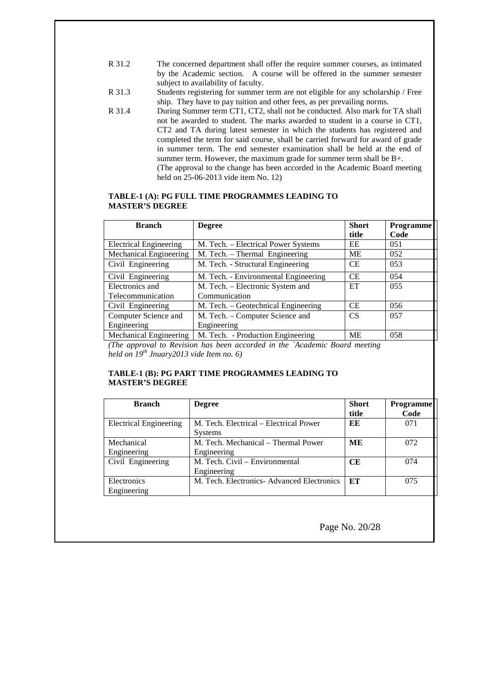- R 31.2 The concerned department shall offer the require summer courses, as intimated by the Academic section. A course will be offered in the summer semester subject to availability of faculty.
- R 31.3 Students registering for summer term are not eligible for any scholarship / Free ship. They have to pay tuition and other fees, as per prevailing norms.
- R 31.4 During Summer term CT1, CT2, shall not be conducted. Also mark for TA shall not be awarded to student. The marks awarded to student in a course in CT1, CT2 and TA during latest semester in which the students has registered and completed the term for said course, shall be carried forward for award of grade in summer term. The end semester examination shall be held at the end of summer term. However, the maximum grade for summer term shall be B+. (The approval to the change has been accorded in the Academic Board meeting held on 25-06-2013 vide item No. 12)

#### **TABLE-1 (A): PG FULL TIME PROGRAMMES LEADING TO MASTER'S DEGREE**

| <b>Branch</b>                 | <b>Degree</b>                        | <b>Short</b> | <b>Programme</b> |
|-------------------------------|--------------------------------------|--------------|------------------|
|                               |                                      | title        | Code             |
| <b>Electrical Engineering</b> | M. Tech. - Electrical Power Systems  | EE           | 051              |
| <b>Mechanical Engineering</b> | M. Tech. - Thermal Engineering       | <b>ME</b>    | 052              |
| Civil Engineering             | M. Tech. - Structural Engineering    | <b>CE</b>    | 053              |
| Civil Engineering             | M. Tech. - Environmental Engineering | <b>CE</b>    | 054              |
| Electronics and               | M. Tech. - Electronic System and     | ET           | 055              |
| Telecommunication             | Communication                        |              |                  |
| Civil Engineering             | M. Tech. – Geotechnical Engineering  | <b>CE</b>    | 056              |
| Computer Science and          | M. Tech. – Computer Science and      | <b>CS</b>    | 057              |
| Engineering                   | Engineering                          |              |                  |
| <b>Mechanical Engineering</b> | M. Tech. - Production Engineering    | <b>ME</b>    | 058              |

*(The approval to Revision has been accorded in the `Academic Board meeting held on 19th Jnuary2013 vide Item no. 6)*

## **TABLE-1 (B): PG PART TIME PROGRAMMES LEADING TO MASTER'S DEGREE**

| <b>Branch</b>              | <b>Degree</b>                                            | <b>Short</b><br>title | <b>Programme</b><br>Code |
|----------------------------|----------------------------------------------------------|-----------------------|--------------------------|
| Electrical Engineering     | M. Tech. Electrical – Electrical Power<br><b>Systems</b> | ЕE                    | 071                      |
| Mechanical<br>Engineering  | M. Tech. Mechanical – Thermal Power<br>Engineering       | ME                    | 072                      |
| Civil Engineering          | M. Tech. Civil – Environmental<br>Engineering            | CE                    | 074                      |
| Electronics<br>Engineering | M. Tech. Electronics- Advanced Electronics               | ET                    | 075                      |

Page No. 20/28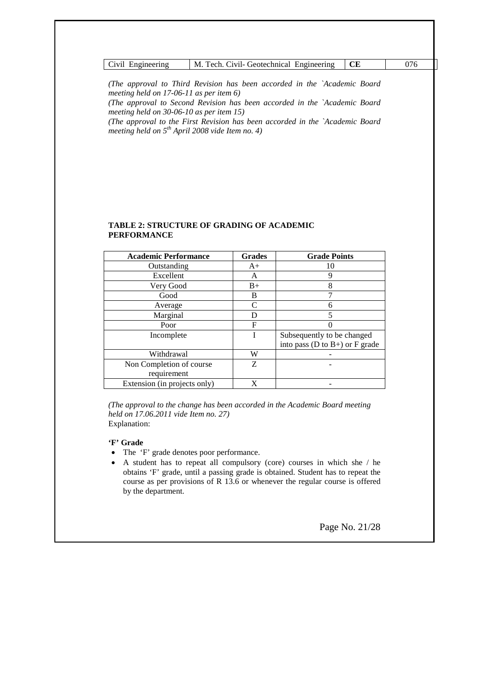| – Civil<br><b>Engineering</b> | Civil- Geotechnical<br>M.<br>. Engineering<br>ech |  |
|-------------------------------|---------------------------------------------------|--|

*(The approval to Third Revision has been accorded in the `Academic Board meeting held on 17-06-11 as per item 6)*

*(The approval to Second Revision has been accorded in the `Academic Board meeting held on 30-06-10 as per item 15)*

*(The approval to the First Revision has been accorded in the `Academic Board meeting held on 5th April 2008 vide Item no. 4)*

#### **TABLE 2: STRUCTURE OF GRADING OF ACADEMIC PERFORMANCE**

| <b>Academic Performance</b>  | <b>Grades</b> | <b>Grade Points</b>                    |
|------------------------------|---------------|----------------------------------------|
| Outstanding                  | $A+$          | 10                                     |
| Excellent                    | A             | 9                                      |
| Very Good                    | $B+$          | 8                                      |
| Good                         | B             |                                        |
| Average                      | C             | 6                                      |
| Marginal                     |               | 5                                      |
| Poor                         | F             |                                        |
| Incomplete                   |               | Subsequently to be changed             |
|                              |               | into pass ( $D$ to $B+$ ) or $F$ grade |
| Withdrawal                   | W             |                                        |
| Non Completion of course     | Z             |                                        |
| requirement                  |               |                                        |
| Extension (in projects only) | X             |                                        |

*(The approval to the change has been accorded in the Academic Board meeting held on 17.06.2011 vide Item no. 27)* Explanation:

## **'F' Grade**

- · The 'F' grade denotes poor performance.
- · A student has to repeat all compulsory (core) courses in which she / he obtains 'F' grade, until a passing grade is obtained. Student has to repeat the course as per provisions of R 13.6 or whenever the regular course is offered by the department.

Page No. 21/28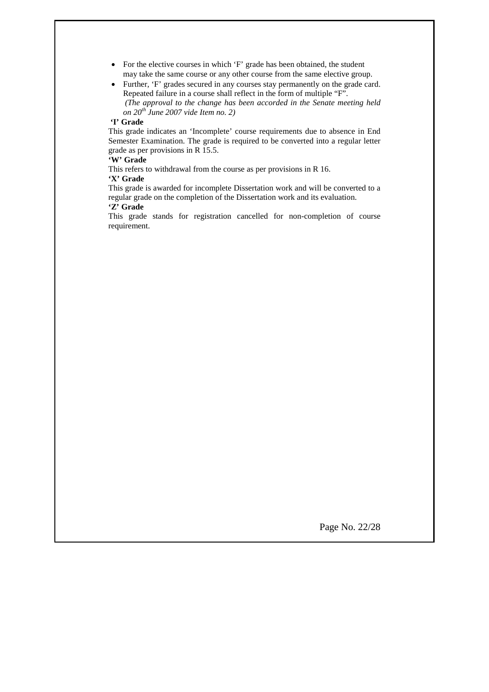- For the elective courses in which 'F' grade has been obtained, the student may take the same course or any other course from the same elective group.
- · Further, 'F' grades secured in any courses stay permanently on the grade card. Repeated failure in a course shall reflect in the form of multiple "F". *(The approval to the change has been accorded in the Senate meeting held on 20th June 2007 vide Item no. 2)*

## **'I' Grade**

This grade indicates an 'Incomplete' course requirements due to absence in End Semester Examination. The grade is required to be converted into a regular letter grade as per provisions in R 15.5.

#### **'W' Grade**

This refers to withdrawal from the course as per provisions in R 16. **'X' Grade**

This grade is awarded for incomplete Dissertation work and will be converted to a regular grade on the completion of the Dissertation work and its evaluation. **'Z' Grade**

This grade stands for registration cancelled for non-completion of course requirement.

Page No. 22/28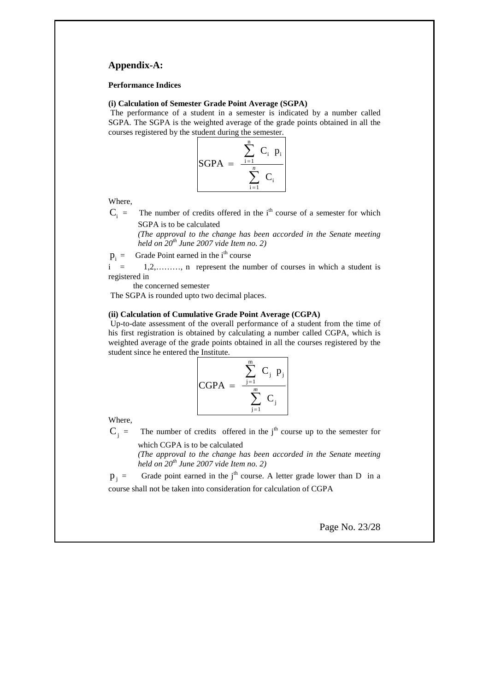## **Appendix-A:**

#### **Performance Indices**

#### **(i) Calculation of Semester Grade Point Average (SGPA)**

The performance of a student in a semester is indicated by a number called SGPA. The SGPA is the weighted average of the grade points obtained in all the courses registered by the student during the semester.



Where,

 $C_i$  = The number of credits offered in the i<sup>th</sup> course of a semester for which SGPA is to be calculated

> *(The approval to the change has been accorded in the Senate meeting held on 20th June 2007 vide Item no. 2)*

 $p_i$  = Grade Point earned in the i<sup>th</sup> course

 $i = 1,2,...,..., n$  represent the number of courses in which a student is registered in

the concerned semester

The SGPA is rounded upto two decimal places.

#### **(ii) Calculation of Cumulative Grade Point Average (CGPA)**

Up-to-date assessment of the overall performance of a student from the time of his first registration is obtained by calculating a number called CGPA, which is weighted average of the grade points obtained in all the courses registered by the student since he entered the Institute.

$$
CGPA = \frac{\sum_{j=1}^{m} C_j p_j}{\sum_{j=1}^{m} C_j}
$$

Where,

 $C_i$  = The number of credits offered in the j<sup>th</sup> course up to the semester for

which CGPA is to be calculated *(The approval to the change has been accorded in the Senate meeting held on 20th June 2007 vide Item no. 2)*

 $p_i$  = Grade point earned in the j<sup>th</sup> course. A letter grade lower than D in a course shall not be taken into consideration for calculation of CGPA

Page No. 23/28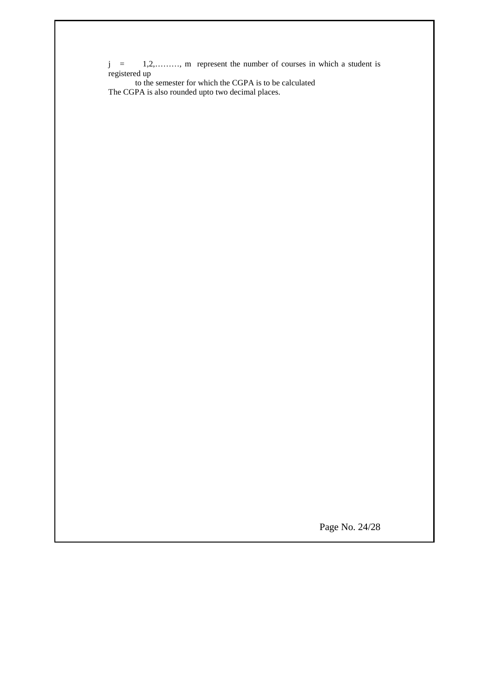j = 1,2,………, m represent the number of courses in which a student is registered up

 to the semester for which the CGPA is to be calculated The CGPA is also rounded upto two decimal places.

Page No. 24/28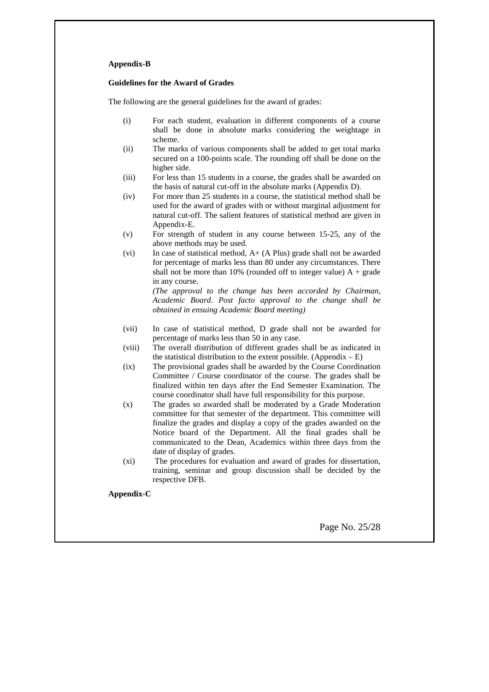#### **Appendix-B**

#### **Guidelines for the Award of Grades**

The following are the general guidelines for the award of grades:

- (i) For each student, evaluation in different components of a course shall be done in absolute marks considering the weightage in scheme.
- (ii) The marks of various components shall be added to get total marks secured on a 100-points scale. The rounding off shall be done on the higher side.
- (iii) For less than 15 students in a course, the grades shall be awarded on the basis of natural cut-off in the absolute marks (Appendix D).
- (iv) For more than 25 students in a course, the statistical method shall be used for the award of grades with or without marginal adjustment for natural cut-off. The salient features of statistical method are given in Appendix-E.
- (v) For strength of student in any course between 15-25, any of the above methods may be used.
- (vi) In case of statistical method, A+ (A Plus) grade shall not be awarded for percentage of marks less than 80 under any circumstances. There shall not be more than 10% (rounded off to integer value)  $A + grade$ in any course.

*(The approval to the change has been accorded by Chairman, Academic Board. Post facto approval to the change shall be obtained in ensuing Academic Board meeting)*

- (vii) In case of statistical method, D grade shall not be awarded for percentage of marks less than 50 in any case.
- (viii) The overall distribution of different grades shall be as indicated in the statistical distribution to the extent possible. (Appendix  $-E$ )
- (ix) The provisional grades shall be awarded by the Course Coordination Committee / Course coordinator of the course. The grades shall be finalized within ten days after the End Semester Examination. The course coordinator shall have full responsibility for this purpose.
- (x) The grades so awarded shall be moderated by a Grade Moderation committee for that semester of the department. This committee will finalize the grades and display a copy of the grades awarded on the Notice board of the Department. All the final grades shall be communicated to the Dean, Academics within three days from the date of display of grades.
- (xi) The procedures for evaluation and award of grades for dissertation, training, seminar and group discussion shall be decided by the respective DFB.

**Appendix-C**

Page No. 25/28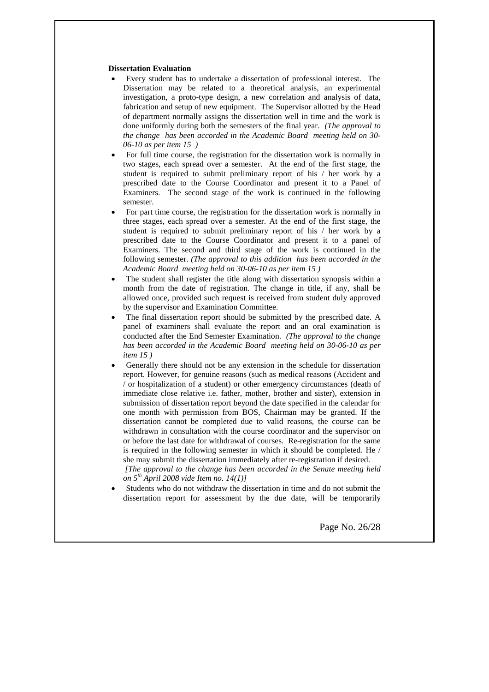#### **Dissertation Evaluation**

- Every student has to undertake a dissertation of professional interest. The Dissertation may be related to a theoretical analysis, an experimental investigation, a proto-type design, a new correlation and analysis of data, fabrication and setup of new equipment. The Supervisor allotted by the Head of department normally assigns the dissertation well in time and the work is done uniformly during both the semesters of the final year. *(The approval to the change has been accorded in the Academic Board meeting held on 30- 06-10 as per item 15 )*
- · For full time course, the registration for the dissertation work is normally in two stages, each spread over a semester. At the end of the first stage, the student is required to submit preliminary report of his / her work by a prescribed date to the Course Coordinator and present it to a Panel of Examiners. The second stage of the work is continued in the following semester.
- · For part time course, the registration for the dissertation work is normally in three stages, each spread over a semester. At the end of the first stage, the student is required to submit preliminary report of his / her work by a prescribed date to the Course Coordinator and present it to a panel of Examiners. The second and third stage of the work is continued in the following semester. *(The approval to this addition has been accorded in the Academic Board meeting held on 30-06-10 as per item 15 )*
- · The student shall register the title along with dissertation synopsis within a month from the date of registration. The change in title, if any, shall be allowed once, provided such request is received from student duly approved by the supervisor and Examination Committee.
- · The final dissertation report should be submitted by the prescribed date. A panel of examiners shall evaluate the report and an oral examination is conducted after the End Semester Examination. *(The approval to the change has been accorded in the Academic Board meeting held on 30-06-10 as per item 15 )*
- Generally there should not be any extension in the schedule for dissertation report. However, for genuine reasons (such as medical reasons (Accident and / or hospitalization of a student) or other emergency circumstances (death of immediate close relative i.e. father, mother, brother and sister), extension in submission of dissertation report beyond the date specified in the calendar for one month with permission from BOS, Chairman may be granted. If the dissertation cannot be completed due to valid reasons, the course can be withdrawn in consultation with the course coordinator and the supervisor on or before the last date for withdrawal of courses. Re-registration for the same is required in the following semester in which it should be completed. He / she may submit the dissertation immediately after re-registration if desired. *[The approval to the change has been accorded in the Senate meeting held on 5th April 2008 vide Item no. 14(1)]*
- Students who do not withdraw the dissertation in time and do not submit the dissertation report for assessment by the due date, will be temporarily

Page No. 26/28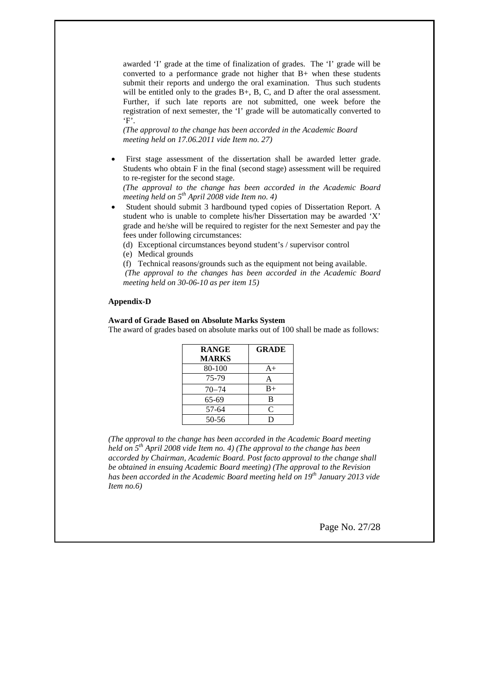awarded 'I' grade at the time of finalization of grades. The 'I' grade will be converted to a performance grade not higher that B+ when these students submit their reports and undergo the oral examination. Thus such students will be entitled only to the grades B+, B, C, and D after the oral assessment. Further, if such late reports are not submitted, one week before the registration of next semester, the 'I' grade will be automatically converted to 'F'.

*(The approval to the change has been accorded in the Academic Board meeting held on 17.06.2011 vide Item no. 27)*

First stage assessment of the dissertation shall be awarded letter grade. Students who obtain F in the final (second stage) assessment will be required to re-register for the second stage.

*(The approval to the change has been accorded in the Academic Board meeting held on 5th April 2008 vide Item no. 4)*

- Student should submit 3 hardbound typed copies of Dissertation Report. A student who is unable to complete his/her Dissertation may be awarded 'X' grade and he/she will be required to register for the next Semester and pay the fees under following circumstances:
	- (d) Exceptional circumstances beyond student's / supervisor control
	- (e) Medical grounds
	- (f) Technical reasons/grounds such as the equipment not being available.

*(The approval to the changes has been accorded in the Academic Board meeting held on 30-06-10 as per item 15)*

#### **Appendix-D**

## **Award of Grade Based on Absolute Marks System**

The award of grades based on absolute marks out of 100 shall be made as follows:

| <b>RANGE</b> | <b>GRADE</b> |
|--------------|--------------|
| <b>MARKS</b> |              |
| 80-100       | $A+$         |
| 75-79        | A            |
| $70 - 74$    | $B+$         |
| 65-69        | R            |
| 57-64        | C            |
| $50 - 56$    | D            |

*(The approval to the change has been accorded in the Academic Board meeting held on 5th April 2008 vide Item no. 4) (The approval to the change has been accorded by Chairman, Academic Board. Post facto approval to the change shall be obtained in ensuing Academic Board meeting) (The approval to the Revision has been accorded in the Academic Board meeting held on 19th January 2013 vide Item no.6)*

Page No. 27/28